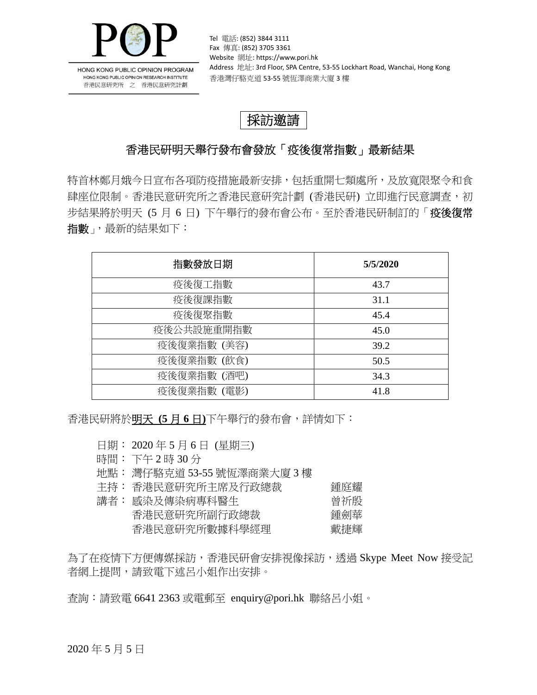

HONG KONG PUBLIC OPINION PROGRAM HONG KONG PUBLIC OPINION RESEARCH INSTITUTE 香港民意研究所 之 香港民意研究計劃

Tel 電話: (852) 3844 3111 Fax 傳真: (852) 3705 3361 Website 網址: https://www.pori.hk Address 地址: 3rd Floor, SPA Centre, 53-55 Lockhart Road, Wanchai, Hong Kong 香港灣仔駱克道 53‐55 號恆澤商業大廈 3 樓

## 採訪邀請

## 香港民研明天舉行發布會發放「疫後復常指數」最新結果

特首林鄭月娥今日宣布各項防疫措施最新安排,包括重開七類處所,及放寬限聚今和食 肆座位限制。香港民意研究者港民意研究計劃 (香港民研) 立即進行民意調查,初 步結果將於明天 (5 月 6 日) 下午舉行的發布會公布。至於香港民研制訂的「疫後復常 指數」,最新的結果如下:

| 指數發放日期      | 5/5/2020 |
|-------------|----------|
| 疫後復工指數      | 43.7     |
| 疫後復課指數      | 31.1     |
| 疫後復聚指數      | 45.4     |
| 疫後公共設施重開指數  | 45.0     |
| 疫後復業指數 (美容) | 39.2     |
| 疫後復業指數 (飲食) | 50.5     |
| 疫後復業指數 (酒吧) | 34.3     |
| 疫後復業指數 (電影) | 41.8     |

香港民研將於明天 **(5** 月 **6** 日**)**下午舉行的發布會,詳情如下:

日期: 2020 年 5 月 6 日 (星期三)

- 時間: 下午 2 時 30 分
- 地點: 灣仔駱克道 53-55 號恆澤商業大廈 3 樓
- 主持: 香港民意研究所主席及行政總裁 鍾庭耀 講者: 感染及傳染病專科醫生 曾祈殷 香港民意研究所副行政總裁 鍾劍華

香港民意研究所數據科學經理 戴捷輝

為了在疫情下方便傳媒採訪,香港民研會安排視像採訪,透過 Skype Meet Now 接受記 者網上提問,請致電下述呂小姐作出安排。

查詢:請致電 6641 2363 或電郵至 enquiry@pori.hk 聯絡呂小姐。

2020 年 5 月 5 日